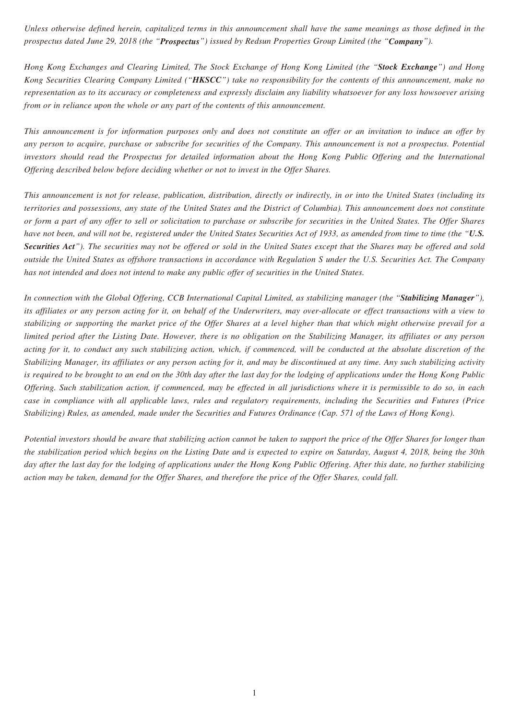*Unless otherwise defined herein, capitalized terms in this announcement shall have the same meanings as those defined in the prospectus dated June 29, 2018 (the "Prospectus") issued by Redsun Properties Group Limited (the "Company").*

*Hong Kong Exchanges and Clearing Limited, The Stock Exchange of Hong Kong Limited (the "Stock Exchange") and Hong Kong Securities Clearing Company Limited ("HKSCC") take no responsibility for the contents of this announcement, make no representation as to its accuracy or completeness and expressly disclaim any liability whatsoever for any loss howsoever arising from or in reliance upon the whole or any part of the contents of this announcement.*

*This announcement is for information purposes only and does not constitute an offer or an invitation to induce an offer by any person to acquire, purchase or subscribe for securities of the Company. This announcement is not a prospectus. Potential investors should read the Prospectus for detailed information about the Hong Kong Public Offering and the International Offering described below before deciding whether or not to invest in the Offer Shares.*

*This announcement is not for release, publication, distribution, directly or indirectly, in or into the United States (including its territories and possessions, any state of the United States and the District of Columbia). This announcement does not constitute or form a part of any offer to sell or solicitation to purchase or subscribe for securities in the United States. The Offer Shares have not been, and will not be, registered under the United States Securities Act of 1933, as amended from time to time (the "U.S. Securities Act"). The securities may not be offered or sold in the United States except that the Shares may be offered and sold outside the United States as offshore transactions in accordance with Regulation S under the U.S. Securities Act. The Company has not intended and does not intend to make any public offer of securities in the United States.*

*In connection with the Global Offering, CCB International Capital Limited, as stabilizing manager (the "Stabilizing Manager"), its affiliates or any person acting for it, on behalf of the Underwriters, may over-allocate or effect transactions with a view to stabilizing or supporting the market price of the Offer Shares at a level higher than that which might otherwise prevail for a limited period after the Listing Date. However, there is no obligation on the Stabilizing Manager, its affiliates or any person acting for it, to conduct any such stabilizing action, which, if commenced, will be conducted at the absolute discretion of the Stabilizing Manager, its affiliates or any person acting for it, and may be discontinued at any time. Any such stabilizing activity is required to be brought to an end on the 30th day after the last day for the lodging of applications under the Hong Kong Public Offering. Such stabilization action, if commenced, may be effected in all jurisdictions where it is permissible to do so, in each case in compliance with all applicable laws, rules and regulatory requirements, including the Securities and Futures (Price Stabilizing) Rules, as amended, made under the Securities and Futures Ordinance (Cap. 571 of the Laws of Hong Kong).*

*Potential investors should be aware that stabilizing action cannot be taken to support the price of the Offer Shares for longer than the stabilization period which begins on the Listing Date and is expected to expire on Saturday, August 4, 2018, being the 30th day after the last day for the lodging of applications under the Hong Kong Public Offering. After this date, no further stabilizing action may be taken, demand for the Offer Shares, and therefore the price of the Offer Shares, could fall.*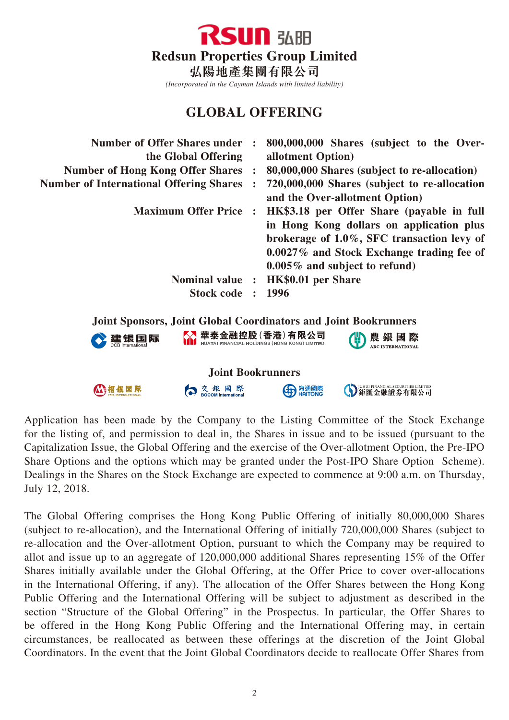

*(Incorporated in the Cayman Islands with limited liability)*

## **GLOBAL OFFERING**

| <b>Number of Offer Shares under</b><br>the Global Offering<br><b>Number of Hong Kong Offer Shares :</b><br><b>Number of International Offering Shares</b> |  | 800,000,000 Shares (subject to the Over-<br>allotment Option)<br>80,000,000 Shares (subject to re-allocation)<br>720,000,000 Shares (subject to re-allocation<br>and the Over-allotment Option)                      |  |  |  |
|-----------------------------------------------------------------------------------------------------------------------------------------------------------|--|----------------------------------------------------------------------------------------------------------------------------------------------------------------------------------------------------------------------|--|--|--|
| <b>Maximum Offer Price:</b>                                                                                                                               |  | HK\$3.18 per Offer Share (payable in full<br>in Hong Kong dollars on application plus<br>brokerage of 1.0%, SFC transaction levy of<br>0.0027% and Stock Exchange trading fee of<br>$0.005\%$ and subject to refund) |  |  |  |
| Stock code : 1996                                                                                                                                         |  | Nominal value : HK\$0.01 per Share                                                                                                                                                                                   |  |  |  |
| <b>Joint Sponsors, Joint Global Coordinators and Joint Bookrunners</b>                                                                                    |  |                                                                                                                                                                                                                      |  |  |  |
| 建银国际                                                                                                                                                      |  | │華泰金融控股(香港)有限公司<br>│ ниатаї ғімаюсіа∟но∟рімся (номс комс) ∟імітє́р<br>農 銀 國 際                                                                                                                                        |  |  |  |
| <b>Joint Bookrunners</b>                                                                                                                                  |  |                                                                                                                                                                                                                      |  |  |  |
|                                                                                                                                                           |  | )UHUI FINANCIAL SECURITIES LIMITED                                                                                                                                                                                   |  |  |  |

Application has been made by the Company to the Listing Committee of the Stock Exchange for the listing of, and permission to deal in, the Shares in issue and to be issued (pursuant to the Capitalization Issue, the Global Offering and the exercise of the Over-allotment Option, the Pre-IPO Share Options and the options which may be granted under the Post-IPO Share Option Scheme). Dealings in the Shares on the Stock Exchange are expected to commence at 9:00 a.m. on Thursday, July 12, 2018.

The Global Offering comprises the Hong Kong Public Offering of initially 80,000,000 Shares (subject to re-allocation), and the International Offering of initially 720,000,000 Shares (subject to re-allocation and the Over-allotment Option, pursuant to which the Company may be required to allot and issue up to an aggregate of 120,000,000 additional Shares representing 15% of the Offer Shares initially available under the Global Offering, at the Offer Price to cover over-allocations in the International Offering, if any). The allocation of the Offer Shares between the Hong Kong Public Offering and the International Offering will be subject to adjustment as described in the section "Structure of the Global Offering" in the Prospectus. In particular, the Offer Shares to be offered in the Hong Kong Public Offering and the International Offering may, in certain circumstances, be reallocated as between these offerings at the discretion of the Joint Global Coordinators. In the event that the Joint Global Coordinators decide to reallocate Offer Shares from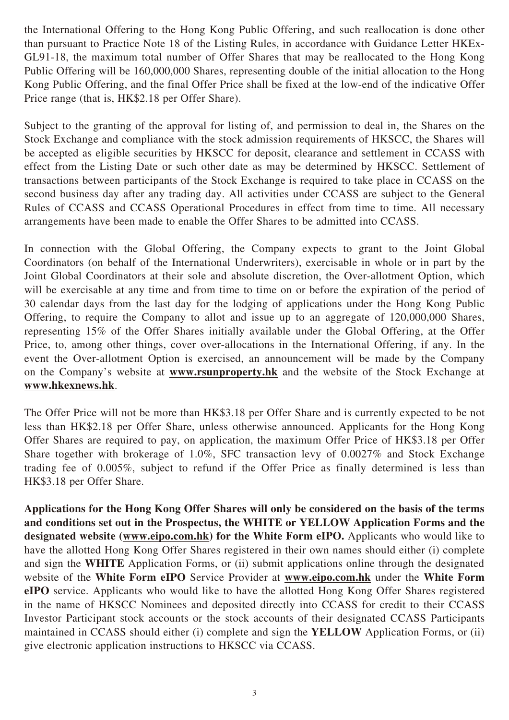the International Offering to the Hong Kong Public Offering, and such reallocation is done other than pursuant to Practice Note 18 of the Listing Rules, in accordance with Guidance Letter HKEx-GL91-18, the maximum total number of Offer Shares that may be reallocated to the Hong Kong Public Offering will be 160,000,000 Shares, representing double of the initial allocation to the Hong Kong Public Offering, and the final Offer Price shall be fixed at the low-end of the indicative Offer Price range (that is, HK\$2.18 per Offer Share).

Subject to the granting of the approval for listing of, and permission to deal in, the Shares on the Stock Exchange and compliance with the stock admission requirements of HKSCC, the Shares will be accepted as eligible securities by HKSCC for deposit, clearance and settlement in CCASS with effect from the Listing Date or such other date as may be determined by HKSCC. Settlement of transactions between participants of the Stock Exchange is required to take place in CCASS on the second business day after any trading day. All activities under CCASS are subject to the General Rules of CCASS and CCASS Operational Procedures in effect from time to time. All necessary arrangements have been made to enable the Offer Shares to be admitted into CCASS.

In connection with the Global Offering, the Company expects to grant to the Joint Global Coordinators (on behalf of the International Underwriters), exercisable in whole or in part by the Joint Global Coordinators at their sole and absolute discretion, the Over-allotment Option, which will be exercisable at any time and from time to time on or before the expiration of the period of 30 calendar days from the last day for the lodging of applications under the Hong Kong Public Offering, to require the Company to allot and issue up to an aggregate of 120,000,000 Shares, representing 15% of the Offer Shares initially available under the Global Offering, at the Offer Price, to, among other things, cover over-allocations in the International Offering, if any. In the event the Over-allotment Option is exercised, an announcement will be made by the Company on the Company's website at **www.rsunproperty.hk** and the website of the Stock Exchange at **www.hkexnews.hk**.

The Offer Price will not be more than HK\$3.18 per Offer Share and is currently expected to be not less than HK\$2.18 per Offer Share, unless otherwise announced. Applicants for the Hong Kong Offer Shares are required to pay, on application, the maximum Offer Price of HK\$3.18 per Offer Share together with brokerage of 1.0%, SFC transaction levy of 0.0027% and Stock Exchange trading fee of 0.005%, subject to refund if the Offer Price as finally determined is less than HK\$3.18 per Offer Share.

**Applications for the Hong Kong Offer Shares will only be considered on the basis of the terms and conditions set out in the Prospectus, the WHITE or YELLOW Application Forms and the designated website (www.eipo.com.hk) for the White Form eIPO.** Applicants who would like to have the allotted Hong Kong Offer Shares registered in their own names should either (i) complete and sign the **WHITE** Application Forms, or (ii) submit applications online through the designated website of the **White Form eIPO** Service Provider at **www.eipo.com.hk** under the **White Form eIPO** service. Applicants who would like to have the allotted Hong Kong Offer Shares registered in the name of HKSCC Nominees and deposited directly into CCASS for credit to their CCASS Investor Participant stock accounts or the stock accounts of their designated CCASS Participants maintained in CCASS should either (i) complete and sign the **YELLOW** Application Forms, or (ii) give electronic application instructions to HKSCC via CCASS.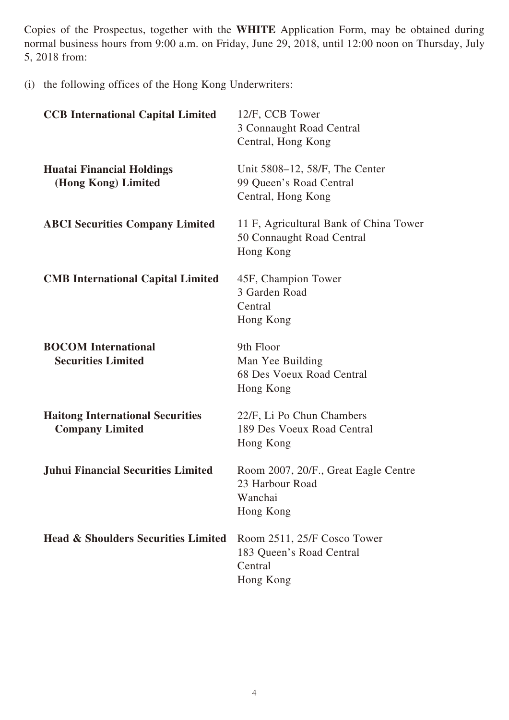Copies of the Prospectus, together with the **WHITE** Application Form, may be obtained during normal business hours from 9:00 a.m. on Friday, June 29, 2018, until 12:00 noon on Thursday, July 5, 2018 from:

(i) the following offices of the Hong Kong Underwriters:

| <b>CCB International Capital Limited</b>                          | 12/F, CCB Tower<br>3 Connaught Road Central<br>Central, Hong Kong                |
|-------------------------------------------------------------------|----------------------------------------------------------------------------------|
| <b>Huatai Financial Holdings</b><br>(Hong Kong) Limited           | Unit 5808–12, 58/F, The Center<br>99 Queen's Road Central<br>Central, Hong Kong  |
| <b>ABCI Securities Company Limited</b>                            | 11 F, Agricultural Bank of China Tower<br>50 Connaught Road Central<br>Hong Kong |
| <b>CMB</b> International Capital Limited                          | 45F, Champion Tower<br>3 Garden Road<br>Central<br>Hong Kong                     |
| <b>BOCOM</b> International<br><b>Securities Limited</b>           | 9th Floor<br>Man Yee Building<br>68 Des Voeux Road Central<br>Hong Kong          |
| <b>Haitong International Securities</b><br><b>Company Limited</b> | 22/F, Li Po Chun Chambers<br>189 Des Voeux Road Central<br>Hong Kong             |
| <b>Juhui Financial Securities Limited</b>                         | Room 2007, 20/F., Great Eagle Centre<br>23 Harbour Road<br>Wanchai<br>Hong Kong  |
| <b>Head &amp; Shoulders Securities Limited</b>                    | Room 2511, 25/F Cosco Tower<br>183 Queen's Road Central<br>Central<br>Hong Kong  |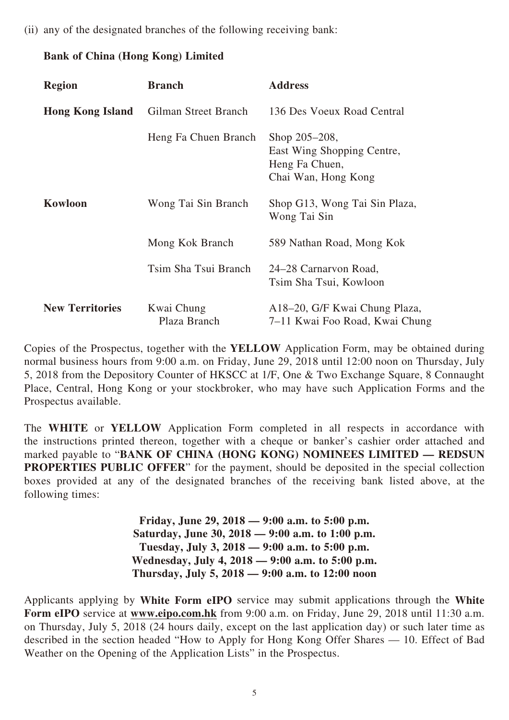(ii) any of the designated branches of the following receiving bank:

## **Bank of China (Hong Kong) Limited**

| <b>Region</b>           | <b>Branch</b>              | <b>Address</b>                                                                       |
|-------------------------|----------------------------|--------------------------------------------------------------------------------------|
| <b>Hong Kong Island</b> | Gilman Street Branch       | 136 Des Voeux Road Central                                                           |
|                         | Heng Fa Chuen Branch       | Shop 205–208,<br>East Wing Shopping Centre,<br>Heng Fa Chuen,<br>Chai Wan, Hong Kong |
| Kowloon                 | Wong Tai Sin Branch        | Shop G13, Wong Tai Sin Plaza,<br>Wong Tai Sin                                        |
|                         | Mong Kok Branch            | 589 Nathan Road, Mong Kok                                                            |
|                         | Tsim Sha Tsui Branch       | 24–28 Carnarvon Road,<br>Tsim Sha Tsui, Kowloon                                      |
| <b>New Territories</b>  | Kwai Chung<br>Plaza Branch | A18–20, G/F Kwai Chung Plaza,<br>7–11 Kwai Foo Road, Kwai Chung                      |

Copies of the Prospectus, together with the **YELLOW** Application Form, may be obtained during normal business hours from 9:00 a.m. on Friday, June 29, 2018 until 12:00 noon on Thursday, July 5, 2018 from the Depository Counter of HKSCC at 1/F, One & Two Exchange Square, 8 Connaught Place, Central, Hong Kong or your stockbroker, who may have such Application Forms and the Prospectus available.

The **WHITE** or **YELLOW** Application Form completed in all respects in accordance with the instructions printed thereon, together with a cheque or banker's cashier order attached and marked payable to "**BANK OF CHINA (HONG KONG) NOMINEES LIMITED — REDSUN PROPERTIES PUBLIC OFFER**" for the payment, should be deposited in the special collection boxes provided at any of the designated branches of the receiving bank listed above, at the following times:

> **Friday, June 29, 2018 — 9:00 a.m. to 5:00 p.m. Saturday, June 30, 2018 — 9:00 a.m. to 1:00 p.m. Tuesday, July 3, 2018 — 9:00 a.m. to 5:00 p.m. Wednesday, July 4, 2018 — 9:00 a.m. to 5:00 p.m. Thursday, July 5, 2018 — 9:00 a.m. to 12:00 noon**

Applicants applying by **White Form eIPO** service may submit applications through the **White Form eIPO** service at **www.eipo.com.hk** from 9:00 a.m. on Friday, June 29, 2018 until 11:30 a.m. on Thursday, July 5, 2018 (24 hours daily, except on the last application day) or such later time as described in the section headed "How to Apply for Hong Kong Offer Shares — 10. Effect of Bad Weather on the Opening of the Application Lists" in the Prospectus.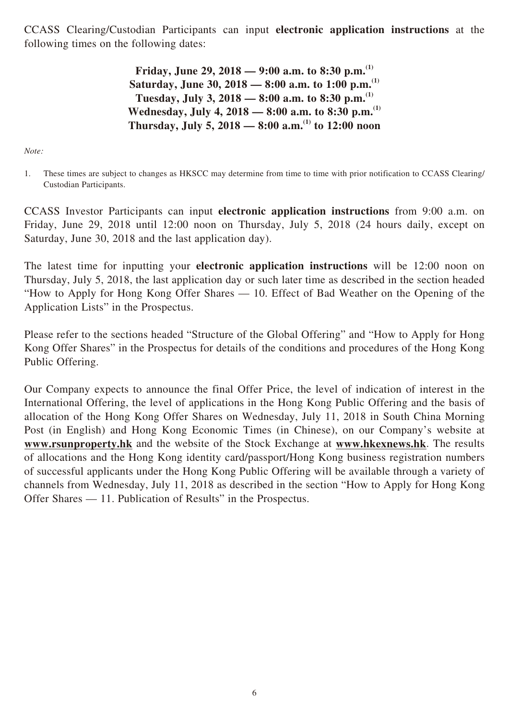CCASS Clearing/Custodian Participants can input **electronic application instructions** at the following times on the following dates:

> **Friday, June 29, 2018 — 9:00 a.m. to 8:30 p.m.(1) Saturday, June 30, 2018 — 8:00 a.m. to 1:00 p.m.(1) Tuesday, July 3, 2018 — 8:00 a.m. to 8:30 p.m.(1) Wednesday, July 4, 2018 — 8:00 a.m. to 8:30 p.m.(1) Thursday, July 5, 2018 — 8:00 a.m.(1) to 12:00 noon**

*Note:*

1. These times are subject to changes as HKSCC may determine from time to time with prior notification to CCASS Clearing/ Custodian Participants.

CCASS Investor Participants can input **electronic application instructions** from 9:00 a.m. on Friday, June 29, 2018 until 12:00 noon on Thursday, July 5, 2018 (24 hours daily, except on Saturday, June 30, 2018 and the last application day).

The latest time for inputting your **electronic application instructions** will be 12:00 noon on Thursday, July 5, 2018, the last application day or such later time as described in the section headed "How to Apply for Hong Kong Offer Shares — 10. Effect of Bad Weather on the Opening of the Application Lists" in the Prospectus.

Please refer to the sections headed "Structure of the Global Offering" and "How to Apply for Hong Kong Offer Shares" in the Prospectus for details of the conditions and procedures of the Hong Kong Public Offering.

Our Company expects to announce the final Offer Price, the level of indication of interest in the International Offering, the level of applications in the Hong Kong Public Offering and the basis of allocation of the Hong Kong Offer Shares on Wednesday, July 11, 2018 in South China Morning Post (in English) and Hong Kong Economic Times (in Chinese), on our Company's website at **www.rsunproperty.hk** and the website of the Stock Exchange at **www.hkexnews.hk**. The results of allocations and the Hong Kong identity card/passport/Hong Kong business registration numbers of successful applicants under the Hong Kong Public Offering will be available through a variety of channels from Wednesday, July 11, 2018 as described in the section "How to Apply for Hong Kong Offer Shares — 11. Publication of Results" in the Prospectus.